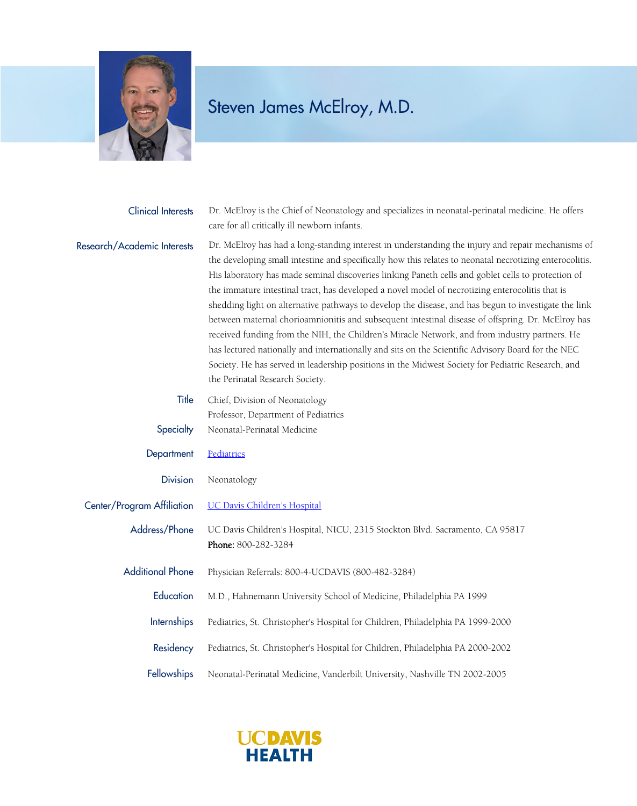

## Steven James McElroy, M.D.

| <b>Clinical Interests</b>   | Dr. McElroy is the Chief of Neonatology and specializes in neonatal-perinatal medicine. He offers<br>care for all critically ill newborn infants.                                                                                                                                                                                                                                                                                                                                                                                                                                                                                                                                                                                                                                                                                                                                                                                                                                |
|-----------------------------|----------------------------------------------------------------------------------------------------------------------------------------------------------------------------------------------------------------------------------------------------------------------------------------------------------------------------------------------------------------------------------------------------------------------------------------------------------------------------------------------------------------------------------------------------------------------------------------------------------------------------------------------------------------------------------------------------------------------------------------------------------------------------------------------------------------------------------------------------------------------------------------------------------------------------------------------------------------------------------|
| Research/Academic Interests | Dr. McElroy has had a long-standing interest in understanding the injury and repair mechanisms of<br>the developing small intestine and specifically how this relates to neonatal necrotizing enterocolitis.<br>His laboratory has made seminal discoveries linking Paneth cells and goblet cells to protection of<br>the immature intestinal tract, has developed a novel model of necrotizing enterocolitis that is<br>shedding light on alternative pathways to develop the disease, and has begun to investigate the link<br>between maternal chorioamnionitis and subsequent intestinal disease of offspring. Dr. McElroy has<br>received funding from the NIH, the Children's Miracle Network, and from industry partners. He<br>has lectured nationally and internationally and sits on the Scientific Advisory Board for the NEC<br>Society. He has served in leadership positions in the Midwest Society for Pediatric Research, and<br>the Perinatal Research Society. |
| Title                       | Chief, Division of Neonatology                                                                                                                                                                                                                                                                                                                                                                                                                                                                                                                                                                                                                                                                                                                                                                                                                                                                                                                                                   |
| Specialty                   | Professor, Department of Pediatrics<br>Neonatal-Perinatal Medicine                                                                                                                                                                                                                                                                                                                                                                                                                                                                                                                                                                                                                                                                                                                                                                                                                                                                                                               |
| Department                  | Pediatrics                                                                                                                                                                                                                                                                                                                                                                                                                                                                                                                                                                                                                                                                                                                                                                                                                                                                                                                                                                       |
| <b>Division</b>             | Neonatology                                                                                                                                                                                                                                                                                                                                                                                                                                                                                                                                                                                                                                                                                                                                                                                                                                                                                                                                                                      |
| Center/Program Affiliation  | <b>UC Davis Children's Hospital</b>                                                                                                                                                                                                                                                                                                                                                                                                                                                                                                                                                                                                                                                                                                                                                                                                                                                                                                                                              |
| Address/Phone               | UC Davis Children's Hospital, NICU, 2315 Stockton Blvd. Sacramento, CA 95817<br>Phone: 800-282-3284                                                                                                                                                                                                                                                                                                                                                                                                                                                                                                                                                                                                                                                                                                                                                                                                                                                                              |
| <b>Additional Phone</b>     | Physician Referrals: 800-4-UCDAVIS (800-482-3284)                                                                                                                                                                                                                                                                                                                                                                                                                                                                                                                                                                                                                                                                                                                                                                                                                                                                                                                                |
| Education                   | M.D., Hahnemann University School of Medicine, Philadelphia PA 1999                                                                                                                                                                                                                                                                                                                                                                                                                                                                                                                                                                                                                                                                                                                                                                                                                                                                                                              |
| Internships                 | Pediatrics, St. Christopher's Hospital for Children, Philadelphia PA 1999-2000                                                                                                                                                                                                                                                                                                                                                                                                                                                                                                                                                                                                                                                                                                                                                                                                                                                                                                   |
| Residency                   | Pediatrics, St. Christopher's Hospital for Children, Philadelphia PA 2000-2002                                                                                                                                                                                                                                                                                                                                                                                                                                                                                                                                                                                                                                                                                                                                                                                                                                                                                                   |
| Fellowships                 | Neonatal-Perinatal Medicine, Vanderbilt University, Nashville TN 2002-2005                                                                                                                                                                                                                                                                                                                                                                                                                                                                                                                                                                                                                                                                                                                                                                                                                                                                                                       |

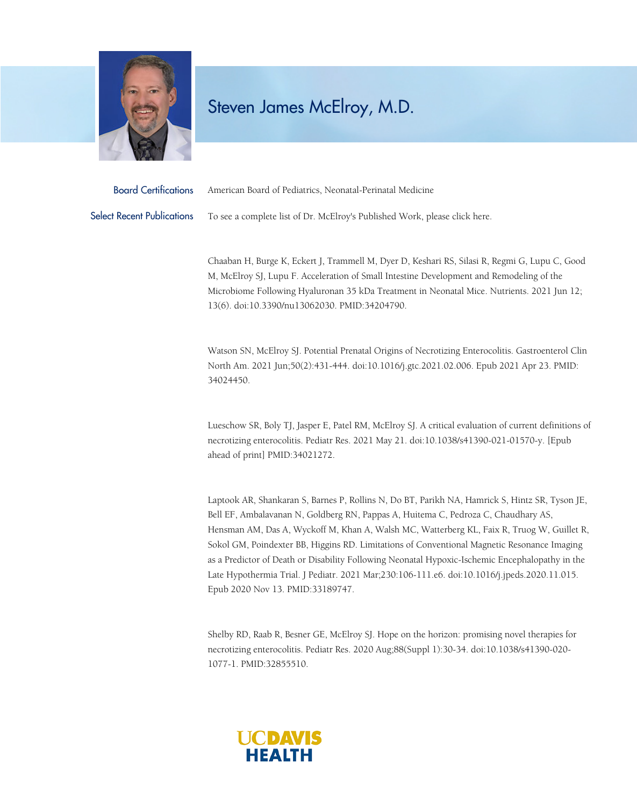

## Steven James McElroy, M.D.

| <b>Board Certifications</b> | American Board of Pediatrics, Neonatal-Perinatal Medicine                  |
|-----------------------------|----------------------------------------------------------------------------|
| Select Recent Publications  | To see a complete list of Dr. McElroy's Published Work, please click here. |

Chaaban H, Burge K, Eckert J, Trammell M, Dyer D, Keshari RS, Silasi R, Regmi G, Lupu C, Good M, McElroy SJ, Lupu F. Acceleration of Small Intestine Development and Remodeling of the Microbiome Following Hyaluronan 35 kDa Treatment in Neonatal Mice. Nutrients. 2021 Jun 12; 13(6). doi:10.3390/nu13062030. PMID:34204790.

Watson SN, McElroy SJ. Potential Prenatal Origins of Necrotizing Enterocolitis. Gastroenterol Clin North Am. 2021 Jun;50(2):431-444. doi:10.1016/j.gtc.2021.02.006. Epub 2021 Apr 23. PMID: 34024450.

Lueschow SR, Boly TJ, Jasper E, Patel RM, McElroy SJ. A critical evaluation of current definitions of necrotizing enterocolitis. Pediatr Res. 2021 May 21. doi:10.1038/s41390-021-01570-y. [Epub ahead of print] PMID:34021272.

Laptook AR, Shankaran S, Barnes P, Rollins N, Do BT, Parikh NA, Hamrick S, Hintz SR, Tyson JE, Bell EF, Ambalavanan N, Goldberg RN, Pappas A, Huitema C, Pedroza C, Chaudhary AS, Hensman AM, Das A, Wyckoff M, Khan A, Walsh MC, Watterberg KL, Faix R, Truog W, Guillet R, Sokol GM, Poindexter BB, Higgins RD. Limitations of Conventional Magnetic Resonance Imaging as a Predictor of Death or Disability Following Neonatal Hypoxic-Ischemic Encephalopathy in the Late Hypothermia Trial. J Pediatr. 2021 Mar;230:106-111.e6. doi:10.1016/j.jpeds.2020.11.015. Epub 2020 Nov 13. PMID:33189747.

Shelby RD, Raab R, Besner GE, McElroy SJ. Hope on the horizon: promising novel therapies for necrotizing enterocolitis. Pediatr Res. 2020 Aug;88(Suppl 1):30-34. doi:10.1038/s41390-020- 1077-1. PMID:32855510.